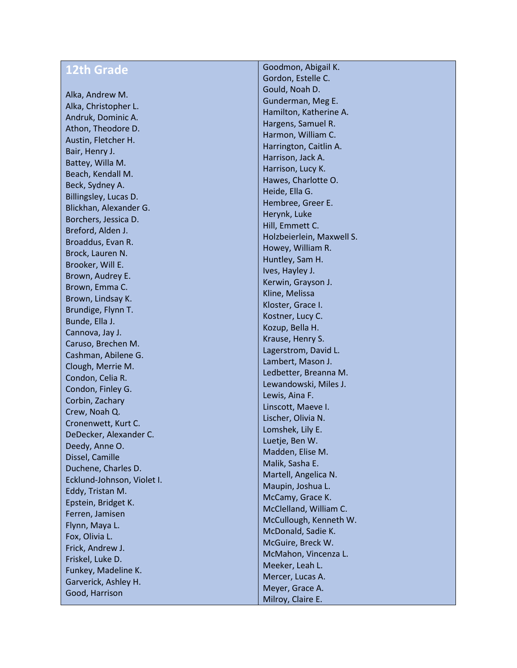## **12th Grade**

Alka, Andrew M. Alka, Christopher L. Andruk, Dominic A. Athon, Theodore D. Austin, Fletcher H. Bair, Henry J. Battey, Willa M. Beach, Kendall M. Beck, Sydney A. Billingsley, Lucas D. Blickhan, Alexander G. Borchers, Jessica D. Breford, Alden J. Broaddus, Evan R. Brock, Lauren N. Brooker, Will E. Brown, Audrey E. Brown, Emma C. Brown, Lindsay K. Brundige, Flynn T. Bunde, Ella J. Cannova, Jay J. Caruso, Brechen M. Cashman, Abilene G. Clough, Merrie M. Condon, Celia R. Condon, Finley G. Corbin, Zachary Crew, Noah Q. Cronenwett, Kurt C. DeDecker, Alexander C. Deedy, Anne O. Dissel, Camille Duchene, Charles D. Ecklund -Johnson, Violet I. Eddy, Tristan M. Epstein, Bridget K. Ferren, Jamisen Flynn, Maya L. Fox, Olivia L. Frick, Andrew J. Friskel, Luke D. Funkey, Madeline K. Garverick, Ashley H. Good, Harrison

Goodmon, Abigail K. Gordon, Estelle C. Gould, Noah D. Gunderman, Meg E. Hamilton, Katherine A. Hargens, Samuel R. Harmon, William C. Harrington, Caitlin A. Harrison, Jack A. Harrison, Lucy K. Hawes, Charlotte O. Heide, Ella G. Hembree, Greer E. Herynk, Luke Hill, Emmett C. Holzbeierlein, Maxwell S. Howey, William R. Huntley, Sam H. Ives, Hayley J. Kerwin, Grayson J. Kline, Melissa Kloster, Grace I. Kostner, Lucy C. Kozup, Bella H. Krause, Henry S. Lagerstrom, David L. Lambert, Mason J. Ledbetter, Breanna M. Lewandowski, Miles J. Lewis, Aina F. Linscott, Maeve I. Lischer, Olivia N. Lomshek, Lily E. Luetje, Ben W. Madden, Elise M. Malik, Sasha E. Martell, Angelica N. Maupin, Joshua L. McCamy, Grace K. McClelland, William C. McCullough, Kenneth W. McDonald, Sadie K. McGuire, Breck W. McMahon, Vincenza L. Meeker, Leah L. Mercer, Lucas A. Meyer, Grace A. Milroy, Claire E.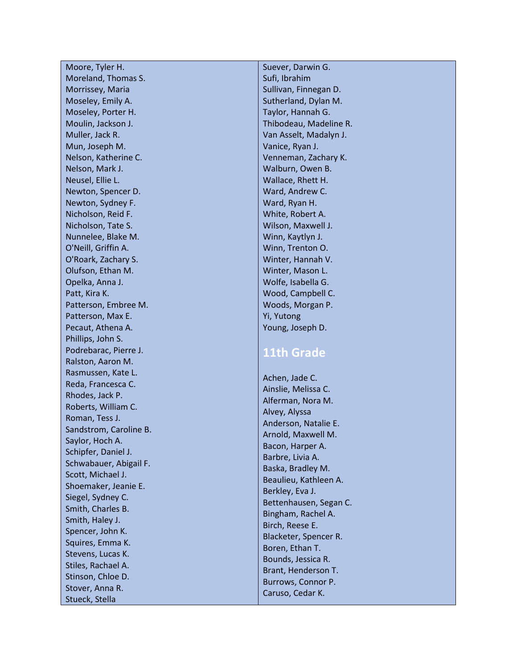Moore, Tyler H. Moreland, Thomas S. Morrissey, Maria Moseley, Emily A. Moseley, Porter H. Moulin, Jackson J. Muller, Jack R. Mun, Joseph M. Nelson, Katherine C. Nelson, Mark J. Neusel, Ellie L. Newton, Spencer D. Newton, Sydney F. Nicholson, Reid F. Nicholson, Tate S. Nunnelee, Blake M. O'Neill, Griffin A. O'Roark, Zachary S. Olufson, Ethan M. Opelka, Anna J. Patt, Kira K. Patterson, Embree M. Patterson, Max E. Pecaut, Athena A. Phillips, John S. Podrebarac, Pierre J. Ralston, Aaron M. Rasmussen, Kate L. Reda, Francesca C. Rhodes, Jack P. Roberts, William C. Roman, Tess J. Sandstrom, Caroline B. Saylor, Hoch A. Schipfer, Daniel J. Schwabauer, Abigail F. Scott, Michael J. Shoemaker, Jeanie E. Siegel, Sydney C. Smith, Charles B. Smith, Haley J. Spencer, John K. Squires, Emma K. Stevens, Lucas K. Stiles, Rachael A. Stinson, Chloe D. Stover, Anna R. Stueck, Stella

Suever, Darwin G. Sufi, Ibrahim Sullivan, Finnegan D. Sutherland, Dylan M. Taylor, Hannah G. Thibodeau, Madeline R. Van Asselt, Madalyn J. Vanice, Ryan J. Venneman, Zachary K. Walburn, Owen B. Wallace, Rhett H. Ward, Andrew C. Ward, Ryan H. White, Robert A. Wilson, Maxwell J. Winn, Kaytlyn J. Winn, Trenton O. Winter, Hannah V. Winter, Mason L. Wolfe, Isabella G. Wood, Campbell C. Woods, Morgan P. Yi, Yutong Young, Joseph D.

## **11th Grade**

Achen, Jade C. Ainslie, Melissa C. Alferman, Nora M. Alvey, Alyssa Anderson, Natalie E. Arnold, Maxwell M. Bacon, Harper A. Barbre, Livia A. Baska, Bradley M. Beaulieu, Kathleen A. Berkley, Eva J. Bettenhausen, Segan C. Bingham, Rachel A. Birch, Reese E. Blacketer, Spencer R. Boren, Ethan T. Bounds, Jessica R. Brant, Henderson T. Burrows, Connor P. Caruso, Cedar K.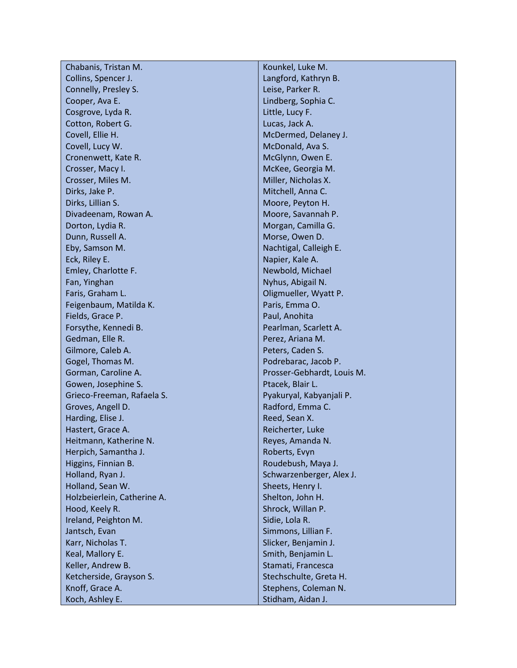| Chabanis, Tristan M.        | Kounkel, Luke M.           |
|-----------------------------|----------------------------|
| Collins, Spencer J.         | Langford, Kathryn B.       |
| Connelly, Presley S.        | Leise, Parker R.           |
| Cooper, Ava E.              | Lindberg, Sophia C.        |
| Cosgrove, Lyda R.           | Little, Lucy F.            |
| Cotton, Robert G.           | Lucas, Jack A.             |
| Covell, Ellie H.            | McDermed, Delaney J.       |
| Covell, Lucy W.             | McDonald, Ava S.           |
| Cronenwett, Kate R.         | McGlynn, Owen E.           |
| Crosser, Macy I.            | McKee, Georgia M.          |
| Crosser, Miles M.           | Miller, Nicholas X.        |
| Dirks, Jake P.              | Mitchell, Anna C.          |
| Dirks, Lillian S.           | Moore, Peyton H.           |
| Divadeenam, Rowan A.        | Moore, Savannah P.         |
| Dorton, Lydia R.            | Morgan, Camilla G.         |
| Dunn, Russell A.            | Morse, Owen D.             |
| Eby, Samson M.              | Nachtigal, Calleigh E.     |
| Eck, Riley E.               | Napier, Kale A.            |
| Emley, Charlotte F.         | Newbold, Michael           |
| Fan, Yinghan                | Nyhus, Abigail N.          |
| Faris, Graham L.            | Oligmueller, Wyatt P.      |
| Feigenbaum, Matilda K.      | Paris, Emma O.             |
| Fields, Grace P.            | Paul, Anohita              |
| Forsythe, Kennedi B.        | Pearlman, Scarlett A.      |
| Gedman, Elle R.             | Perez, Ariana M.           |
| Gilmore, Caleb A.           | Peters, Caden S.           |
| Gogel, Thomas M.            | Podrebarac, Jacob P.       |
| Gorman, Caroline A.         | Prosser-Gebhardt, Louis M. |
| Gowen, Josephine S.         | Ptacek, Blair L.           |
| Grieco-Freeman, Rafaela S.  | Pyakuryal, Kabyanjali P.   |
| Groves, Angell D.           | Radford, Emma C.           |
| Harding, Elise J.           | Reed, Sean X.              |
| Hastert, Grace A.           | Reicherter, Luke           |
| Heitmann, Katherine N.      | Reyes, Amanda N.           |
| Herpich, Samantha J.        | Roberts, Evyn              |
| Higgins, Finnian B.         | Roudebush, Maya J.         |
| Holland, Ryan J.            | Schwarzenberger, Alex J.   |
| Holland, Sean W.            | Sheets, Henry I.           |
| Holzbeierlein, Catherine A. | Shelton, John H.           |
| Hood, Keely R.              | Shrock, Willan P.          |
| Ireland, Peighton M.        | Sidie, Lola R.             |
| Jantsch, Evan               | Simmons, Lillian F.        |
| Karr, Nicholas T.           | Slicker, Benjamin J.       |
| Keal, Mallory E.            | Smith, Benjamin L.         |
| Keller, Andrew B.           | Stamati, Francesca         |
| Ketcherside, Grayson S.     | Stechschulte, Greta H.     |
| Knoff, Grace A.             | Stephens, Coleman N.       |
| Koch, Ashley E.             | Stidham, Aidan J.          |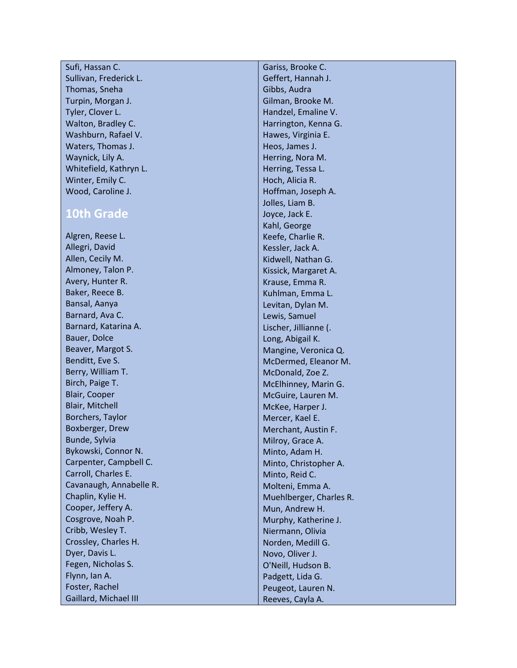| Sufi, Hassan C.        |
|------------------------|
| Sullivan, Frederick L. |
| Thomas, Sneha          |
| Turpin, Morgan J.      |
| Tyler, Clover L.       |
| Walton, Bradley C.     |
| Washburn, Rafael V.    |
| Waters, Thomas J.      |
| Waynick, Lily A.       |
| Whitefield, Kathryn L. |
| Winter, Emily C.       |
| Wood, Caroline J.      |

## **10th Grade**

Algren, Reese L. Allegri, David Allen, Cecily M. Almoney, Talon P. Avery, Hunter R. Baker, Reece B. Bansal, Aanya Barnard, Ava C. Barnard, Katarina A. Bauer, Dolce Beaver, Margot S. Benditt, Eve S. Berry, William T. Birch, Paige T. Blair, Cooper Blair, Mitchell Borchers, Taylor Boxberger, Drew Bunde, Sylvia Bykowski, Connor N. Carpenter, Campbell C. Carroll, Charles E. Cavanaugh, Annabelle R. Chaplin, Kylie H. Cooper, Jeffery A. Cosgrove, Noah P. Cribb, Wesley T. Crossley, Charles H. Dyer, Davis L. Fegen, Nicholas S. Flynn, Ian A. Foster, Rachel Gaillard, Michael III

Gariss, Brooke C. Geffert, Hannah J. Gibbs, Audra Gilman, Brooke M. Handzel, Emaline V. Harrington, Kenna G. Hawes, Virginia E. Heos, James J. Herring, Nora M. Herring, Tessa L. Hoch, Alicia R. Hoffman, Joseph A. Jolles, Liam B. Joyce, Jack E. Kahl, George Keefe, Charlie R. Kessler, Jack A. Kidwell, Nathan G. Kissick, Margaret A. Krause, Emma R. Kuhlman, Emma L. Levitan, Dylan M. Lewis, Samuel Lischer, Jillianne (. Long, Abigail K. Mangine, Veronica Q. McDermed, Eleanor M. McDonald, Zoe Z. McElhinney, Marin G. McGuire, Lauren M. McKee, Harper J. Mercer, Kael E. Merchant, Austin F. Milroy, Grace A. Minto, Adam H. Minto, Christopher A. Minto, Reid C. Molteni, Emma A. Muehlberger, Charles R. Mun, Andrew H. Murphy, Katherine J. Niermann, Olivia Norden, Medill G. Novo, Oliver J. O'Neill, Hudson B. Padgett, Lida G. Peugeot, Lauren N. Reeves, Cayla A.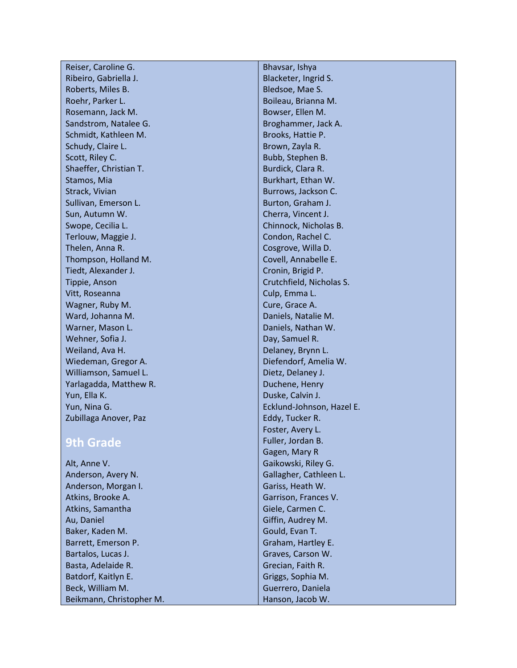| Reiser, Caroline G.      | Bhavsar, Ishya            |
|--------------------------|---------------------------|
| Ribeiro, Gabriella J.    | Blacketer, Ingrid S.      |
| Roberts, Miles B.        | Bledsoe, Mae S.           |
| Roehr, Parker L.         | Boileau, Brianna M.       |
| Rosemann, Jack M.        | Bowser, Ellen M.          |
| Sandstrom, Natalee G.    | Broghammer, Jack A.       |
| Schmidt, Kathleen M.     | Brooks, Hattie P.         |
| Schudy, Claire L.        | Brown, Zayla R.           |
| Scott, Riley C.          | Bubb, Stephen B.          |
| Shaeffer, Christian T.   | Burdick, Clara R.         |
| Stamos, Mia              | Burkhart, Ethan W.        |
| Strack, Vivian           | Burrows, Jackson C.       |
| Sullivan, Emerson L.     | Burton, Graham J.         |
| Sun, Autumn W.           | Cherra, Vincent J.        |
| Swope, Cecilia L.        | Chinnock, Nicholas B.     |
| Terlouw, Maggie J.       | Condon, Rachel C.         |
| Thelen, Anna R.          | Cosgrove, Willa D.        |
| Thompson, Holland M.     | Covell, Annabelle E.      |
| Tiedt, Alexander J.      | Cronin, Brigid P.         |
| Tippie, Anson            | Crutchfield, Nicholas S.  |
| Vitt, Roseanna           | Culp, Emma L.             |
| Wagner, Ruby M.          | Cure, Grace A.            |
| Ward, Johanna M.         | Daniels, Natalie M.       |
| Warner, Mason L.         | Daniels, Nathan W.        |
| Wehner, Sofia J.         | Day, Samuel R.            |
| Weiland, Ava H.          | Delaney, Brynn L.         |
| Wiedeman, Gregor A.      | Diefendorf, Amelia W.     |
| Williamson, Samuel L.    | Dietz, Delaney J.         |
| Yarlagadda, Matthew R.   | Duchene, Henry            |
| Yun, Ella K.             | Duske, Calvin J.          |
| Yun, Nina G.             | Ecklund-Johnson, Hazel E. |
| Zubillaga Anover, Paz    | Eddy, Tucker R.           |
|                          | Foster, Avery L.          |
| <b>9th Grade</b>         | Fuller, Jordan B.         |
|                          | Gagen, Mary R             |
| Alt, Anne V.             | Gaikowski, Riley G.       |
| Anderson, Avery N.       | Gallagher, Cathleen L.    |
| Anderson, Morgan I.      | Gariss, Heath W.          |
| Atkins, Brooke A.        | Garrison, Frances V.      |
| Atkins, Samantha         | Giele, Carmen C.          |
| Au, Daniel               | Giffin, Audrey M.         |
| Baker, Kaden M.          | Gould, Evan T.            |
| Barrett, Emerson P.      | Graham, Hartley E.        |
| Bartalos, Lucas J.       | Graves, Carson W.         |
| Basta, Adelaide R.       | Grecian, Faith R.         |
| Batdorf, Kaitlyn E.      | Griggs, Sophia M.         |
| Beck, William M.         | Guerrero, Daniela         |
| Beikmann, Christopher M. | Hanson, Jacob W.          |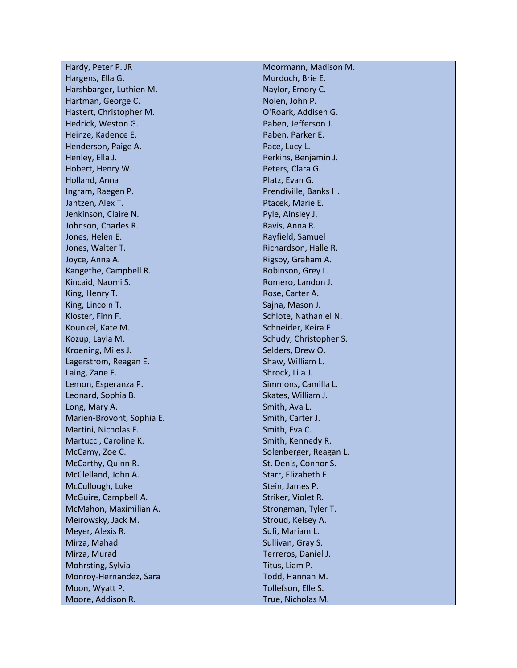| Hardy, Peter P. JR        | Moormann, Madison M.   |
|---------------------------|------------------------|
| Hargens, Ella G.          | Murdoch, Brie E.       |
| Harshbarger, Luthien M.   | Naylor, Emory C.       |
| Hartman, George C.        | Nolen, John P.         |
| Hastert, Christopher M.   | O'Roark, Addisen G.    |
| Hedrick, Weston G.        | Paben, Jefferson J.    |
| Heinze, Kadence E.        | Paben, Parker E.       |
| Henderson, Paige A.       | Pace, Lucy L.          |
| Henley, Ella J.           | Perkins, Benjamin J.   |
| Hobert, Henry W.          | Peters, Clara G.       |
| Holland, Anna             | Platz, Evan G.         |
| Ingram, Raegen P.         | Prendiville, Banks H.  |
| Jantzen, Alex T.          | Ptacek, Marie E.       |
| Jenkinson, Claire N.      | Pyle, Ainsley J.       |
| Johnson, Charles R.       | Ravis, Anna R.         |
| Jones, Helen E.           | Rayfield, Samuel       |
| Jones, Walter T.          | Richardson, Halle R.   |
| Joyce, Anna A.            | Rigsby, Graham A.      |
| Kangethe, Campbell R.     | Robinson, Grey L.      |
| Kincaid, Naomi S.         | Romero, Landon J.      |
| King, Henry T.            | Rose, Carter A.        |
| King, Lincoln T.          | Sajna, Mason J.        |
| Kloster, Finn F.          | Schlote, Nathaniel N.  |
| Kounkel, Kate M.          | Schneider, Keira E.    |
| Kozup, Layla M.           | Schudy, Christopher S. |
| Kroening, Miles J.        | Selders, Drew O.       |
| Lagerstrom, Reagan E.     | Shaw, William L.       |
| Laing, Zane F.            | Shrock, Lila J.        |
| Lemon, Esperanza P.       | Simmons, Camilla L.    |
| Leonard, Sophia B.        | Skates, William J.     |
| Long, Mary A.             | Smith, Ava L.          |
| Marien-Brovont, Sophia E. | Smith, Carter J.       |
| Martini, Nicholas F.      | Smith, Eva C.          |
| Martucci, Caroline K.     | Smith, Kennedy R.      |
| McCamy, Zoe C.            | Solenberger, Reagan L. |
| McCarthy, Quinn R.        | St. Denis, Connor S.   |
| McClelland, John A.       | Starr, Elizabeth E.    |
| McCullough, Luke          | Stein, James P.        |
| McGuire, Campbell A.      | Striker, Violet R.     |
| McMahon, Maximilian A.    | Strongman, Tyler T.    |
| Meirowsky, Jack M.        | Stroud, Kelsey A.      |
| Meyer, Alexis R.          | Sufi, Mariam L.        |
| Mirza, Mahad              | Sullivan, Gray S.      |
| Mirza, Murad              | Terreros, Daniel J.    |
| Mohrsting, Sylvia         | Titus, Liam P.         |
| Monroy-Hernandez, Sara    | Todd, Hannah M.        |
| Moon, Wyatt P.            | Tollefson, Elle S.     |
| Moore, Addison R.         | True, Nicholas M.      |